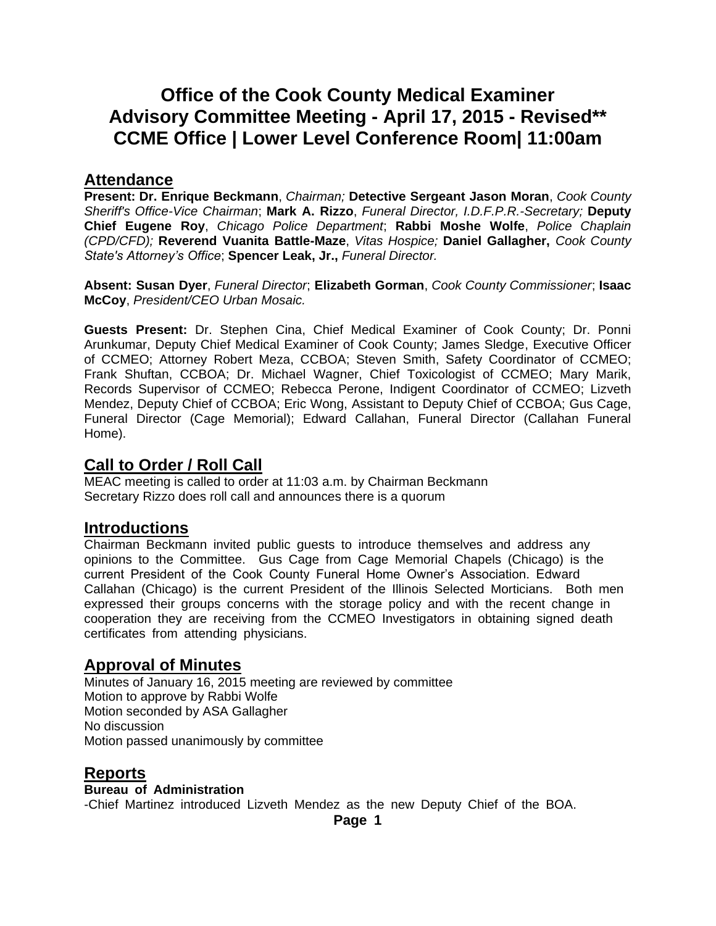# **Office of the Cook County Medical Examiner Advisory Committee Meeting - April 17, 2015 - Revised\*\* CCME Office | Lower Level Conference Room| 11:00am**

### **Attendance**

**Present: Dr. Enrique Beckmann**, *Chairman;* **Detective Sergeant Jason Moran**, *Cook County Sheriff's Office-Vice Chairman*; **Mark A. Rizzo**, *Funeral Director, I.D.F.P.R.-Secretary;* **Deputy Chief Eugene Roy**, *Chicago Police Department*; **Rabbi Moshe Wolfe**, *Police Chaplain (CPD/CFD);* **Reverend Vuanita Battle-Maze**, *Vitas Hospice;* **Daniel Gallagher,** *Cook County State's Attorney's Office*; **Spencer Leak, Jr.,** *Funeral Director.*

**Absent: Susan Dyer**, *Funeral Director*; **Elizabeth Gorman**, *Cook County Commissioner*; **Isaac McCoy**, *President/CEO Urban Mosaic.*

**Guests Present:** Dr. Stephen Cina, Chief Medical Examiner of Cook County; Dr. Ponni Arunkumar, Deputy Chief Medical Examiner of Cook County; James Sledge, Executive Officer of CCMEO; Attorney Robert Meza, CCBOA; Steven Smith, Safety Coordinator of CCMEO; Frank Shuftan, CCBOA; Dr. Michael Wagner, Chief Toxicologist of CCMEO; Mary Marik, Records Supervisor of CCMEO; Rebecca Perone, Indigent Coordinator of CCMEO; Lizveth Mendez, Deputy Chief of CCBOA; Eric Wong, Assistant to Deputy Chief of CCBOA; Gus Cage, Funeral Director (Cage Memorial); Edward Callahan, Funeral Director (Callahan Funeral Home).

### **Call to Order / Roll Call**

MEAC meeting is called to order at 11:03 a.m. by Chairman Beckmann Secretary Rizzo does roll call and announces there is a quorum

### **Introductions**

Chairman Beckmann invited public guests to introduce themselves and address any opinions to the Committee. Gus Cage from Cage Memorial Chapels (Chicago) is the current President of the Cook County Funeral Home Owner's Association. Edward Callahan (Chicago) is the current President of the Illinois Selected Morticians. Both men expressed their groups concerns with the storage policy and with the recent change in cooperation they are receiving from the CCMEO Investigators in obtaining signed death certificates from attending physicians.

### **Approval of Minutes**

Minutes of January 16, 2015 meeting are reviewed by committee Motion to approve by Rabbi Wolfe Motion seconded by ASA Gallagher No discussion Motion passed unanimously by committee

### **Reports**

#### **Bureau of Administration**

-Chief Martinez introduced Lizveth Mendez as the new Deputy Chief of the BOA.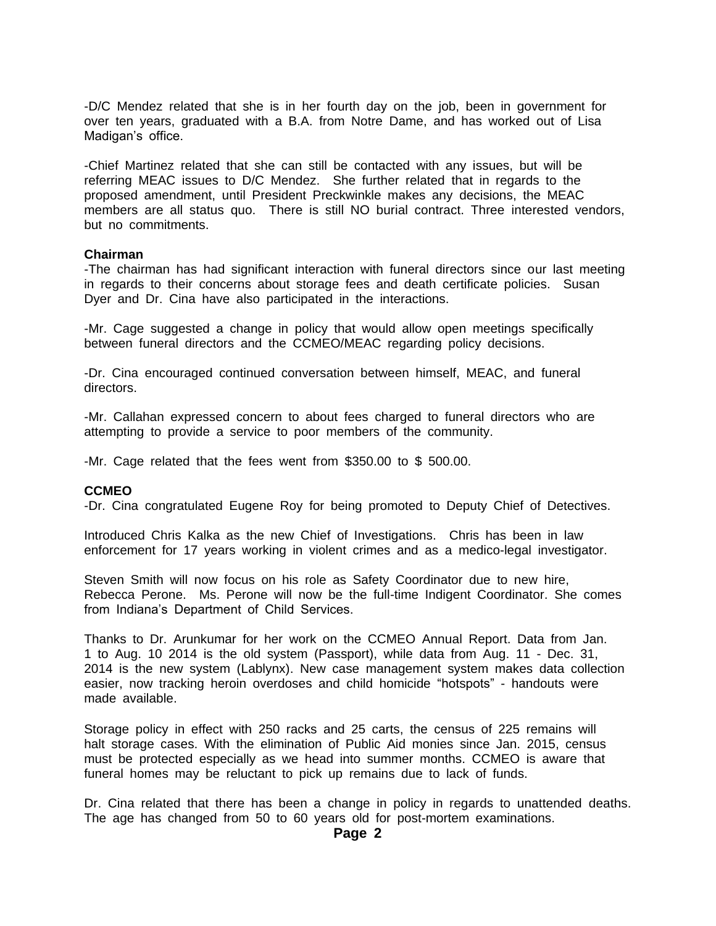-D/C Mendez related that she is in her fourth day on the job, been in government for over ten years, graduated with a B.A. from Notre Dame, and has worked out of Lisa Madigan's office.

-Chief Martinez related that she can still be contacted with any issues, but will be referring MEAC issues to D/C Mendez. She further related that in regards to the proposed amendment, until President Preckwinkle makes any decisions, the MEAC members are all status quo. There is still NO burial contract. Three interested vendors, but no commitments.

#### **Chairman**

-The chairman has had significant interaction with funeral directors since our last meeting in regards to their concerns about storage fees and death certificate policies. Susan Dyer and Dr. Cina have also participated in the interactions.

-Mr. Cage suggested a change in policy that would allow open meetings specifically between funeral directors and the CCMEO/MEAC regarding policy decisions.

-Dr. Cina encouraged continued conversation between himself, MEAC, and funeral directors.

-Mr. Callahan expressed concern to about fees charged to funeral directors who are attempting to provide a service to poor members of the community.

-Mr. Cage related that the fees went from \$350.00 to \$ 500.00.

#### **CCMEO**

-Dr. Cina congratulated Eugene Roy for being promoted to Deputy Chief of Detectives.

Introduced Chris Kalka as the new Chief of Investigations. Chris has been in law enforcement for 17 years working in violent crimes and as a medico-legal investigator.

Steven Smith will now focus on his role as Safety Coordinator due to new hire, Rebecca Perone. Ms. Perone will now be the full-time Indigent Coordinator. She comes from Indiana's Department of Child Services.

Thanks to Dr. Arunkumar for her work on the CCMEO Annual Report. Data from Jan. 1 to Aug. 10 2014 is the old system (Passport), while data from Aug. 11 - Dec. 31, 2014 is the new system (Lablynx). New case management system makes data collection easier, now tracking heroin overdoses and child homicide "hotspots" - handouts were made available.

Storage policy in effect with 250 racks and 25 carts, the census of 225 remains will halt storage cases. With the elimination of Public Aid monies since Jan. 2015, census must be protected especially as we head into summer months. CCMEO is aware that funeral homes may be reluctant to pick up remains due to lack of funds.

Dr. Cina related that there has been a change in policy in regards to unattended deaths. The age has changed from 50 to 60 years old for post-mortem examinations.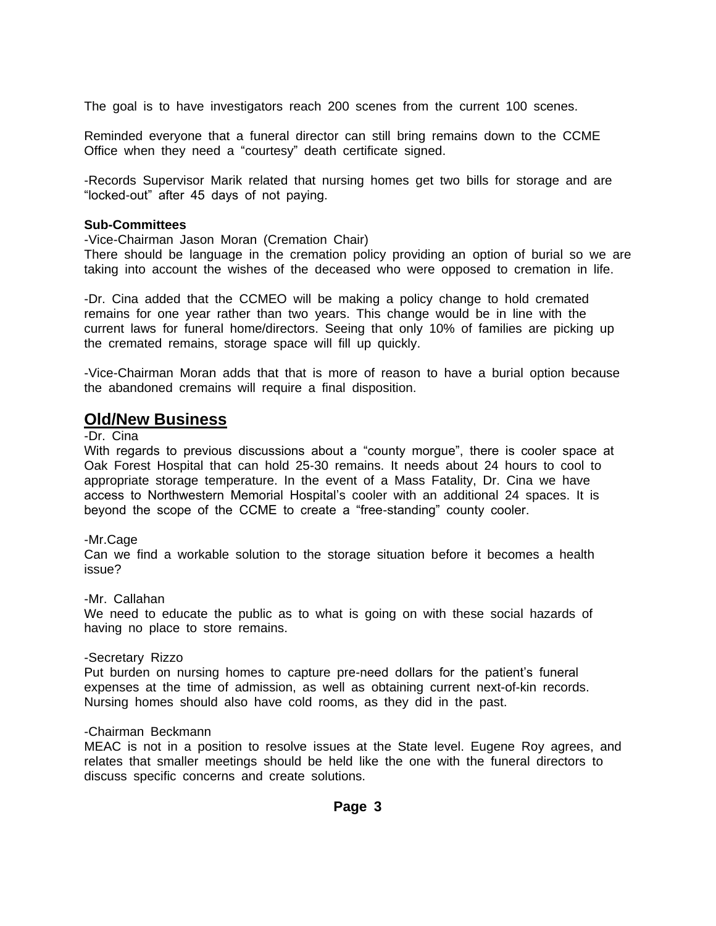The goal is to have investigators reach 200 scenes from the current 100 scenes.

Reminded everyone that a funeral director can still bring remains down to the CCME Office when they need a "courtesy" death certificate signed.

-Records Supervisor Marik related that nursing homes get two bills for storage and are "locked-out" after 45 days of not paying.

#### **Sub-Committees**

-Vice-Chairman Jason Moran (Cremation Chair)

There should be language in the cremation policy providing an option of burial so we are taking into account the wishes of the deceased who were opposed to cremation in life.

-Dr. Cina added that the CCMEO will be making a policy change to hold cremated remains for one year rather than two years. This change would be in line with the current laws for funeral home/directors. Seeing that only 10% of families are picking up the cremated remains, storage space will fill up quickly.

-Vice-Chairman Moran adds that that is more of reason to have a burial option because the abandoned cremains will require a final disposition.

### **Old/New Business**

#### -Dr. Cina

With regards to previous discussions about a "county morgue", there is cooler space at Oak Forest Hospital that can hold 25-30 remains. It needs about 24 hours to cool to appropriate storage temperature. In the event of a Mass Fatality, Dr. Cina we have access to Northwestern Memorial Hospital's cooler with an additional 24 spaces. It is beyond the scope of the CCME to create a "free-standing" county cooler.

#### -Mr.Cage

Can we find a workable solution to the storage situation before it becomes a health issue?

#### -Mr. Callahan

We need to educate the public as to what is going on with these social hazards of having no place to store remains.

#### -Secretary Rizzo

Put burden on nursing homes to capture pre-need dollars for the patient's funeral expenses at the time of admission, as well as obtaining current next-of-kin records. Nursing homes should also have cold rooms, as they did in the past.

#### -Chairman Beckmann

MEAC is not in a position to resolve issues at the State level. Eugene Roy agrees, and relates that smaller meetings should be held like the one with the funeral directors to discuss specific concerns and create solutions.